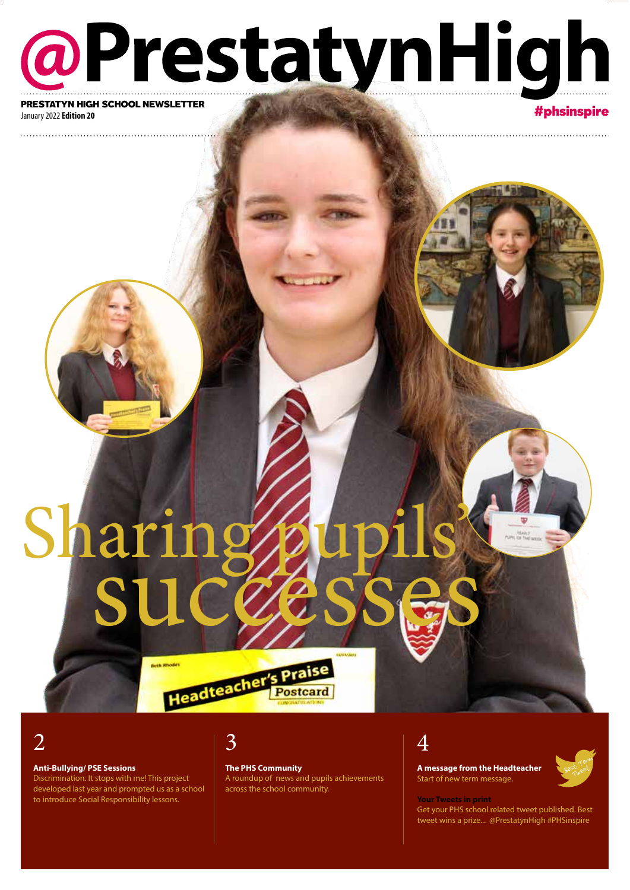## @PrestatynHigh PRESTATYN HIGH SCHOOL NEWSLETTER

January 2022 **Edition 20**

#phsinspire

# successes Sharing

2

#### **Anti-Bullying/ PSE Sessions**

Discrimination. It stops with me! This project developed last year and prompted us as a school to introduce Social Responsibility lessons.

## 3

**The PHS Community**

A roundup of news and pupils achievements across the school community.

## 4

**A message from the Headteacher** Start of new term message.



**Your Tweets in print** Get your PHS school related tweet published. Best tweet wins a prize... @PrestatynHigh #PHSinspire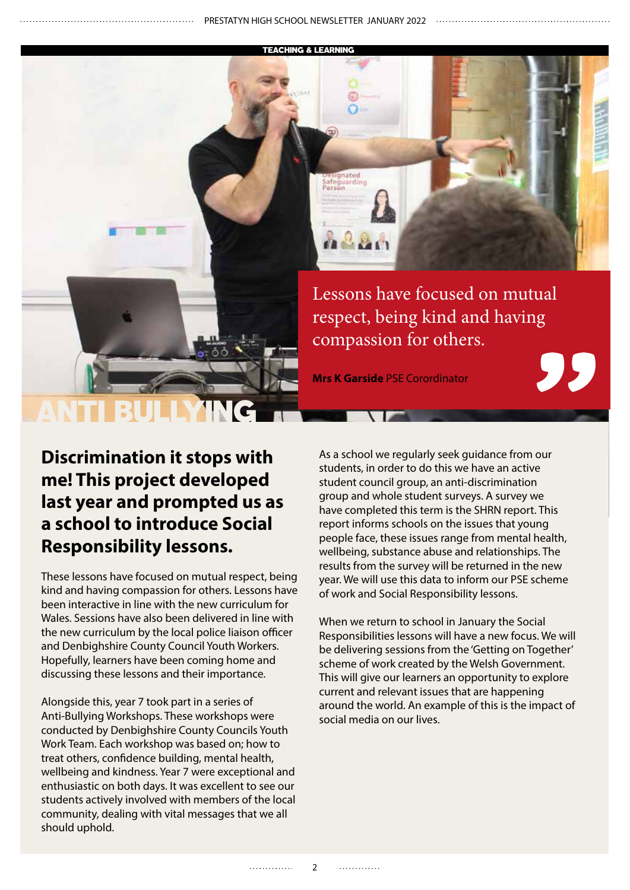ignated Safeguarding<br>Person

TEACHING & LEARNING

de <sup>e</sup> e Lessons have focused on mutual respect, being kind and having compassion for others.

**Mrs K Garside** PSE Corordinator

**Discrimination it stops with me! This project developed last year and prompted us as a school to introduce Social Responsibility lessons.**

ANTI BULLYING

These lessons have focused on mutual respect, being kind and having compassion for others. Lessons have been interactive in line with the new curriculum for Wales. Sessions have also been delivered in line with the new curriculum by the local police liaison officer and Denbighshire County Council Youth Workers. Hopefully, learners have been coming home and discussing these lessons and their importance.

Alongside this, year 7 took part in a series of Anti-Bullying Workshops. These workshops were conducted by Denbighshire County Councils Youth Work Team. Each workshop was based on; how to treat others, confidence building, mental health, wellbeing and kindness. Year 7 were exceptional and enthusiastic on both days. It was excellent to see our students actively involved with members of the local community, dealing with vital messages that we all should uphold.

As a school we regularly seek guidance from our students, in order to do this we have an active student council group, an anti-discrimination group and whole student surveys. A survey we have completed this term is the SHRN report. This report informs schools on the issues that young people face, these issues range from mental health, wellbeing, substance abuse and relationships. The results from the survey will be returned in the new year. We will use this data to inform our PSE scheme of work and Social Responsibility lessons.

When we return to school in January the Social Responsibilities lessons will have a new focus. We will be delivering sessions from the 'Getting on Together' scheme of work created by the Welsh Government. This will give our learners an opportunity to explore current and relevant issues that are happening around the world. An example of this is the impact of social media on our lives.

. . . . . . . . . . . . .

. . . . . . . . . . . . .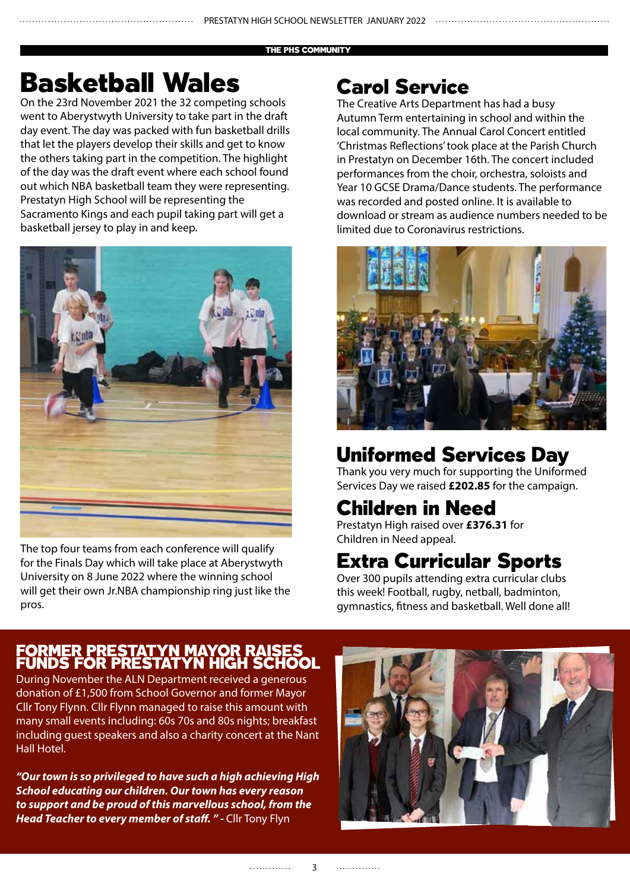#### THE PHS COMMUNITY

## Basketball Wales

On the 23rd November 2021 the 32 competing schools went to Aberystwyth University to take part in the draft day event. The day was packed with fun basketball drills that let the players develop their skills and get to know the others taking part in the competition. The highlight of the day was the draft event where each school found out which NBA basketball team they were representing. Prestatyn High School will be representing the Sacramento Kings and each pupil taking part will get a basketball jersey to play in and keep.



The top four teams from each conference will qualify for the Finals Day which will take place at Aberystwyth University on 8 June 2022 where the winning school will get their own Jr.NBA championship ring just like the pros.

## Carol Service

The Creative Arts Department has had a busy Autumn Term entertaining in school and within the local community. The Annual Carol Concert entitled 'Christmas Reflections' took place at the Parish Church in Prestatyn on December 16th. The concert included performances from the choir, orchestra, soloists and Year 10 GCSE Drama/Dance students. The performance was recorded and posted online. It is available to download or stream as audience numbers needed to be limited due to Coronavirus restrictions.



## Uniformed Services Day

Thank you very much for supporting the Uniformed Services Day we raised **£202.85** for the campaign.

## Children in Need

Prestatyn High raised over **£376.31** for Children in Need appeal.

### Extra Curricular Sports

Over 300 pupils attending extra curricular clubs this week! Football, rugby, netball, badminton, gymnastics, fitness and basketball. Well done all!

#### FORMER PRESTATYN MAYOR RAISES FUNDS FOR PRESTATYN HIGH SCHOOL

During November the ALN Department received a generous donation of £1,500 from School Governor and former Mayor Cllr Tony Flynn. Cllr Flynn managed to raise this amount with many small events including: 60s 70s and 80s nights; breakfast including guest speakers and also a charity concert at the Nant Hall Hotel.

*"Our town is so privileged to have such a high achieving High School educating our children. Our town has every reason to support and be proud of this marvellous school, from the Head Teacher to every member of staff. " -* Cllr Tony Flyn